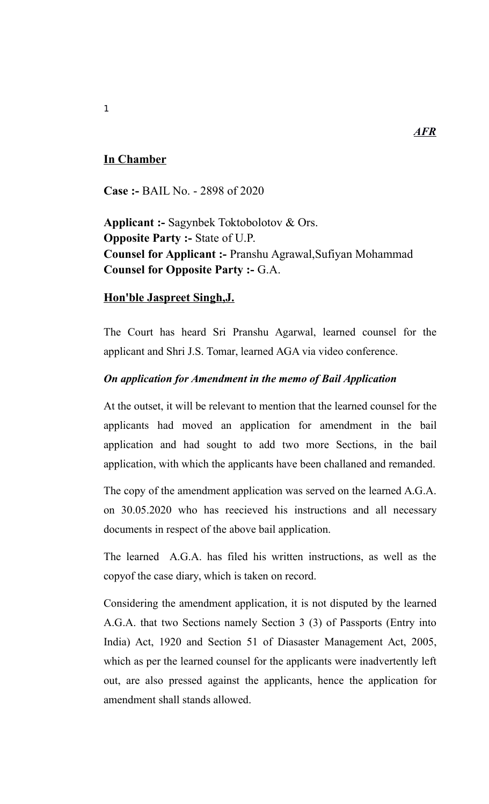# **In Chamber**

**Case :-** BAIL No. - 2898 of 2020

**Applicant :-** Sagynbek Toktobolotov & Ors. **Opposite Party :-** State of U.P. **Counsel for Applicant :-** Pranshu Agrawal,Sufiyan Mohammad **Counsel for Opposite Party :-** G.A.

## **Hon'ble Jaspreet Singh,J.**

The Court has heard Sri Pranshu Agarwal, learned counsel for the applicant and Shri J.S. Tomar, learned AGA via video conference.

## *On application for Amendment in the memo of Bail Application*

At the outset, it will be relevant to mention that the learned counsel for the applicants had moved an application for amendment in the bail application and had sought to add two more Sections, in the bail application, with which the applicants have been challaned and remanded.

The copy of the amendment application was served on the learned A.G.A. on 30.05.2020 who has reecieved his instructions and all necessary documents in respect of the above bail application.

The learned A.G.A. has filed his written instructions, as well as the copyof the case diary, which is taken on record.

Considering the amendment application, it is not disputed by the learned A.G.A. that two Sections namely Section 3 (3) of Passports (Entry into India) Act, 1920 and Section 51 of Diasaster Management Act, 2005, which as per the learned counsel for the applicants were inadvertently left out, are also pressed against the applicants, hence the application for amendment shall stands allowed.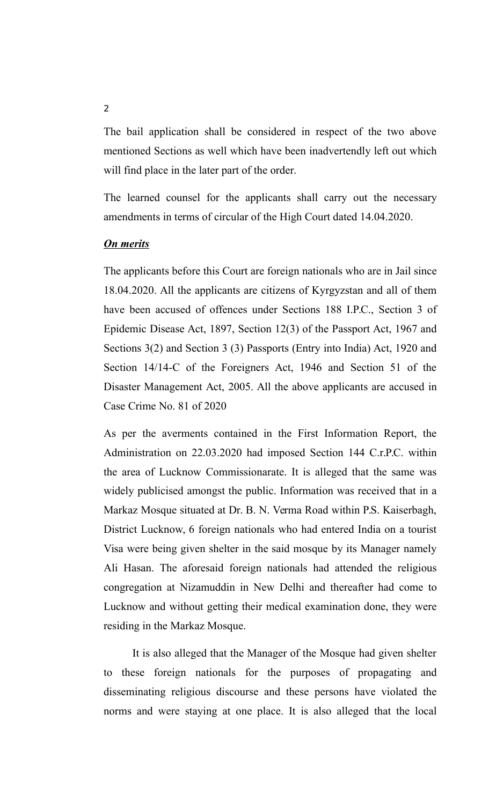The bail application shall be considered in respect of the two above mentioned Sections as well which have been inadvertendly left out which will find place in the later part of the order.

The learned counsel for the applicants shall carry out the necessary amendments in terms of circular of the High Court dated 14.04.2020.

#### *On merits*

The applicants before this Court are foreign nationals who are in Jail since 18.04.2020. All the applicants are citizens of Kyrgyzstan and all of them have been accused of offences under Sections 188 I.P.C., Section 3 of Epidemic Disease Act, 1897, Section 12(3) of the Passport Act, 1967 and Sections 3(2) and Section 3 (3) Passports (Entry into India) Act, 1920 and Section 14/14-C of the Foreigners Act, 1946 and Section 51 of the Disaster Management Act, 2005. All the above applicants are accused in Case Crime No. 81 of 2020

As per the averments contained in the First Information Report, the Administration on 22.03.2020 had imposed Section 144 C.r.P.C. within the area of Lucknow Commissionarate. It is alleged that the same was widely publicised amongst the public. Information was received that in a Markaz Mosque situated at Dr. B. N. Verma Road within P.S. Kaiserbagh, District Lucknow, 6 foreign nationals who had entered India on a tourist Visa were being given shelter in the said mosque by its Manager namely Ali Hasan. The aforesaid foreign nationals had attended the religious congregation at Nizamuddin in New Delhi and thereafter had come to Lucknow and without getting their medical examination done, they were residing in the Markaz Mosque.

It is also alleged that the Manager of the Mosque had given shelter to these foreign nationals for the purposes of propagating and disseminating religious discourse and these persons have violated the norms and were staying at one place. It is also alleged that the local

 $\overline{2}$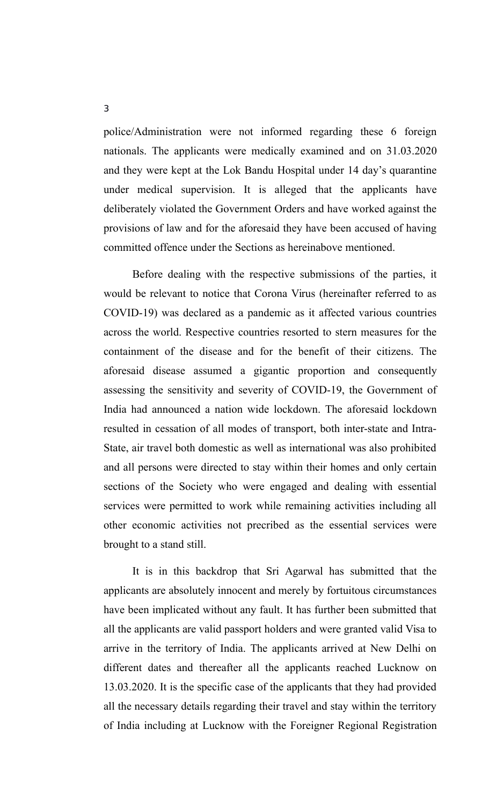police/Administration were not informed regarding these 6 foreign nationals. The applicants were medically examined and on 31.03.2020 and they were kept at the Lok Bandu Hospital under 14 day's quarantine under medical supervision. It is alleged that the applicants have deliberately violated the Government Orders and have worked against the provisions of law and for the aforesaid they have been accused of having committed offence under the Sections as hereinabove mentioned.

Before dealing with the respective submissions of the parties, it would be relevant to notice that Corona Virus (hereinafter referred to as COVID-19) was declared as a pandemic as it affected various countries across the world. Respective countries resorted to stern measures for the containment of the disease and for the benefit of their citizens. The aforesaid disease assumed a gigantic proportion and consequently assessing the sensitivity and severity of COVID-19, the Government of India had announced a nation wide lockdown. The aforesaid lockdown resulted in cessation of all modes of transport, both inter-state and Intra-State, air travel both domestic as well as international was also prohibited and all persons were directed to stay within their homes and only certain sections of the Society who were engaged and dealing with essential services were permitted to work while remaining activities including all other economic activities not precribed as the essential services were brought to a stand still.

It is in this backdrop that Sri Agarwal has submitted that the applicants are absolutely innocent and merely by fortuitous circumstances have been implicated without any fault. It has further been submitted that all the applicants are valid passport holders and were granted valid Visa to arrive in the territory of India. The applicants arrived at New Delhi on different dates and thereafter all the applicants reached Lucknow on 13.03.2020. It is the specific case of the applicants that they had provided all the necessary details regarding their travel and stay within the territory of India including at Lucknow with the Foreigner Regional Registration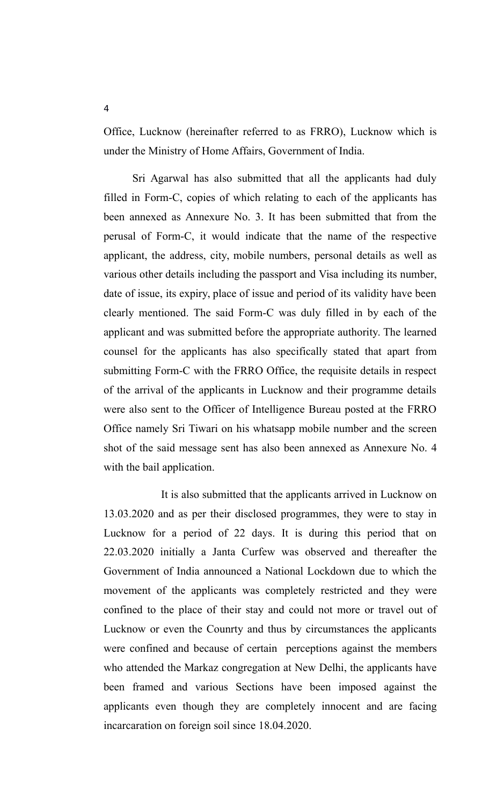Office, Lucknow (hereinafter referred to as FRRO), Lucknow which is under the Ministry of Home Affairs, Government of India.

Sri Agarwal has also submitted that all the applicants had duly filled in Form-C, copies of which relating to each of the applicants has been annexed as Annexure No. 3. It has been submitted that from the perusal of Form-C, it would indicate that the name of the respective applicant, the address, city, mobile numbers, personal details as well as various other details including the passport and Visa including its number, date of issue, its expiry, place of issue and period of its validity have been clearly mentioned. The said Form-C was duly filled in by each of the applicant and was submitted before the appropriate authority. The learned counsel for the applicants has also specifically stated that apart from submitting Form-C with the FRRO Office, the requisite details in respect of the arrival of the applicants in Lucknow and their programme details were also sent to the Officer of Intelligence Bureau posted at the FRRO Office namely Sri Tiwari on his whatsapp mobile number and the screen shot of the said message sent has also been annexed as Annexure No. 4 with the bail application.

It is also submitted that the applicants arrived in Lucknow on 13.03.2020 and as per their disclosed programmes, they were to stay in Lucknow for a period of 22 days. It is during this period that on 22.03.2020 initially a Janta Curfew was observed and thereafter the Government of India announced a National Lockdown due to which the movement of the applicants was completely restricted and they were confined to the place of their stay and could not more or travel out of Lucknow or even the Counrty and thus by circumstances the applicants were confined and because of certain perceptions against the members who attended the Markaz congregation at New Delhi, the applicants have been framed and various Sections have been imposed against the applicants even though they are completely innocent and are facing incarcaration on foreign soil since 18.04.2020.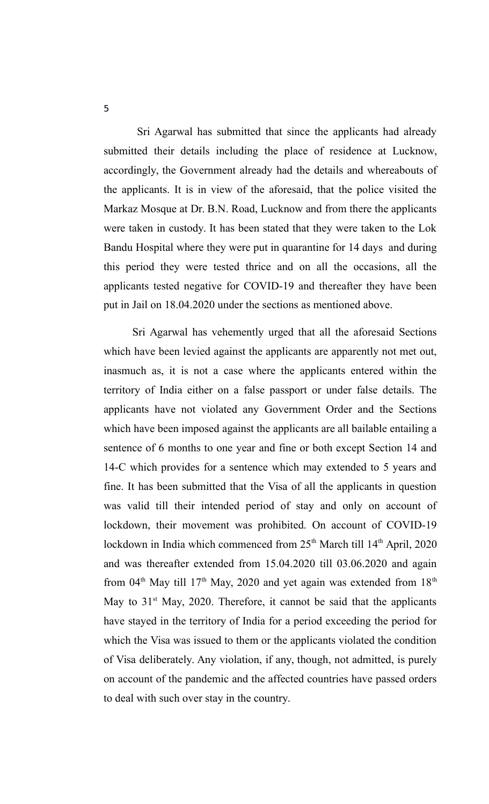Sri Agarwal has submitted that since the applicants had already submitted their details including the place of residence at Lucknow, accordingly, the Government already had the details and whereabouts of the applicants. It is in view of the aforesaid, that the police visited the Markaz Mosque at Dr. B.N. Road, Lucknow and from there the applicants were taken in custody. It has been stated that they were taken to the Lok Bandu Hospital where they were put in quarantine for 14 days and during this period they were tested thrice and on all the occasions, all the applicants tested negative for COVID-19 and thereafter they have been put in Jail on 18.04.2020 under the sections as mentioned above.

Sri Agarwal has vehemently urged that all the aforesaid Sections which have been levied against the applicants are apparently not met out, inasmuch as, it is not a case where the applicants entered within the territory of India either on a false passport or under false details. The applicants have not violated any Government Order and the Sections which have been imposed against the applicants are all bailable entailing a sentence of 6 months to one year and fine or both except Section 14 and 14-C which provides for a sentence which may extended to 5 years and fine. It has been submitted that the Visa of all the applicants in question was valid till their intended period of stay and only on account of lockdown, their movement was prohibited. On account of COVID-19 lockdown in India which commenced from 25<sup>th</sup> March till 14<sup>th</sup> April, 2020 and was thereafter extended from 15.04.2020 till 03.06.2020 and again from 04<sup>th</sup> May till 17<sup>th</sup> May, 2020 and yet again was extended from 18<sup>th</sup> May to  $31<sup>st</sup>$  May, 2020. Therefore, it cannot be said that the applicants have stayed in the territory of India for a period exceeding the period for which the Visa was issued to them or the applicants violated the condition of Visa deliberately. Any violation, if any, though, not admitted, is purely on account of the pandemic and the affected countries have passed orders to deal with such over stay in the country.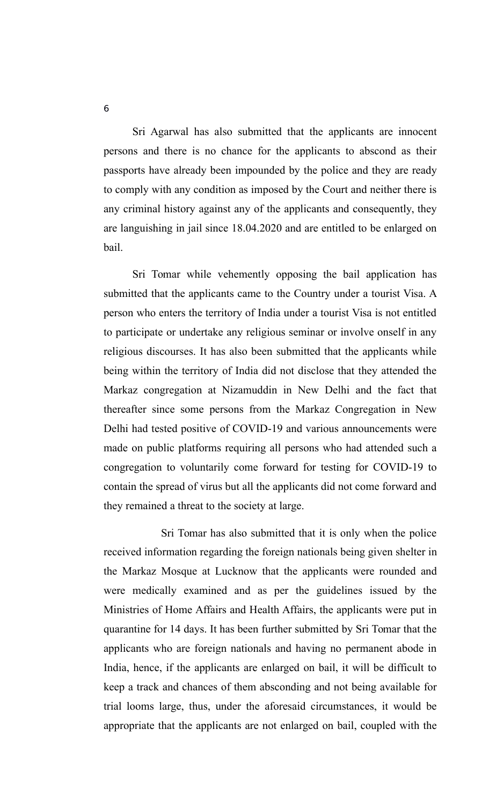Sri Agarwal has also submitted that the applicants are innocent persons and there is no chance for the applicants to abscond as their passports have already been impounded by the police and they are ready to comply with any condition as imposed by the Court and neither there is any criminal history against any of the applicants and consequently, they are languishing in jail since 18.04.2020 and are entitled to be enlarged on bail.

Sri Tomar while vehemently opposing the bail application has submitted that the applicants came to the Country under a tourist Visa. A person who enters the territory of India under a tourist Visa is not entitled to participate or undertake any religious seminar or involve onself in any religious discourses. It has also been submitted that the applicants while being within the territory of India did not disclose that they attended the Markaz congregation at Nizamuddin in New Delhi and the fact that thereafter since some persons from the Markaz Congregation in New Delhi had tested positive of COVID-19 and various announcements were made on public platforms requiring all persons who had attended such a congregation to voluntarily come forward for testing for COVID-19 to contain the spread of virus but all the applicants did not come forward and they remained a threat to the society at large.

Sri Tomar has also submitted that it is only when the police received information regarding the foreign nationals being given shelter in the Markaz Mosque at Lucknow that the applicants were rounded and were medically examined and as per the guidelines issued by the Ministries of Home Affairs and Health Affairs, the applicants were put in quarantine for 14 days. It has been further submitted by Sri Tomar that the applicants who are foreign nationals and having no permanent abode in India, hence, if the applicants are enlarged on bail, it will be difficult to keep a track and chances of them absconding and not being available for trial looms large, thus, under the aforesaid circumstances, it would be appropriate that the applicants are not enlarged on bail, coupled with the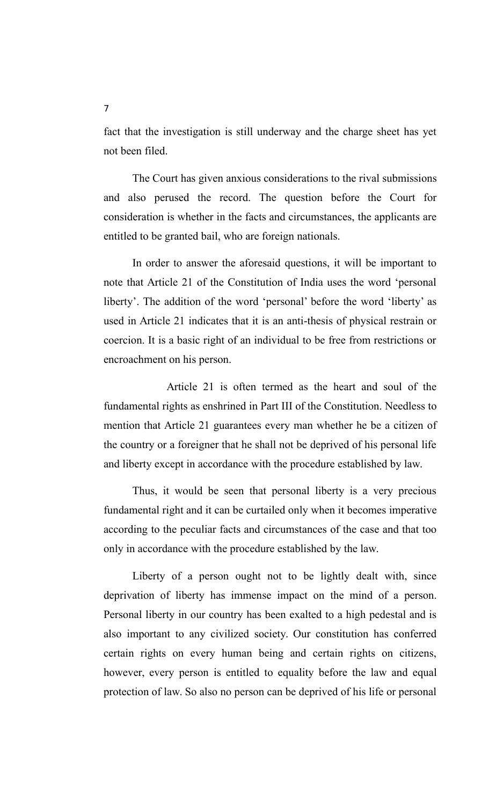fact that the investigation is still underway and the charge sheet has yet not been filed.

The Court has given anxious considerations to the rival submissions and also perused the record. The question before the Court for consideration is whether in the facts and circumstances, the applicants are entitled to be granted bail, who are foreign nationals.

In order to answer the aforesaid questions, it will be important to note that Article 21 of the Constitution of India uses the word 'personal liberty'. The addition of the word 'personal' before the word 'liberty' as used in Article 21 indicates that it is an anti-thesis of physical restrain or coercion. It is a basic right of an individual to be free from restrictions or encroachment on his person.

 Article 21 is often termed as the heart and soul of the fundamental rights as enshrined in Part III of the Constitution. Needless to mention that Article 21 guarantees every man whether he be a citizen of the country or a foreigner that he shall not be deprived of his personal life and liberty except in accordance with the procedure established by law.

Thus, it would be seen that personal liberty is a very precious fundamental right and it can be curtailed only when it becomes imperative according to the peculiar facts and circumstances of the case and that too only in accordance with the procedure established by the law.

Liberty of a person ought not to be lightly dealt with, since deprivation of liberty has immense impact on the mind of a person. Personal liberty in our country has been exalted to a high pedestal and is also important to any civilized society. Our constitution has conferred certain rights on every human being and certain rights on citizens, however, every person is entitled to equality before the law and equal protection of law. So also no person can be deprived of his life or personal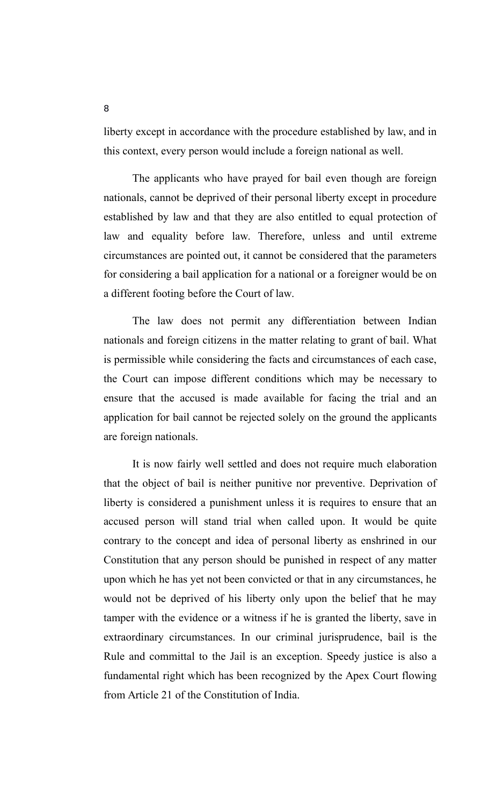liberty except in accordance with the procedure established by law, and in this context, every person would include a foreign national as well.

The applicants who have prayed for bail even though are foreign nationals, cannot be deprived of their personal liberty except in procedure established by law and that they are also entitled to equal protection of law and equality before law. Therefore, unless and until extreme circumstances are pointed out, it cannot be considered that the parameters for considering a bail application for a national or a foreigner would be on a different footing before the Court of law.

The law does not permit any differentiation between Indian nationals and foreign citizens in the matter relating to grant of bail. What is permissible while considering the facts and circumstances of each case, the Court can impose different conditions which may be necessary to ensure that the accused is made available for facing the trial and an application for bail cannot be rejected solely on the ground the applicants are foreign nationals.

It is now fairly well settled and does not require much elaboration that the object of bail is neither punitive nor preventive. Deprivation of liberty is considered a punishment unless it is requires to ensure that an accused person will stand trial when called upon. It would be quite contrary to the concept and idea of personal liberty as enshrined in our Constitution that any person should be punished in respect of any matter upon which he has yet not been convicted or that in any circumstances, he would not be deprived of his liberty only upon the belief that he may tamper with the evidence or a witness if he is granted the liberty, save in extraordinary circumstances. In our criminal jurisprudence, bail is the Rule and committal to the Jail is an exception. Speedy justice is also a fundamental right which has been recognized by the Apex Court flowing from Article 21 of the Constitution of India.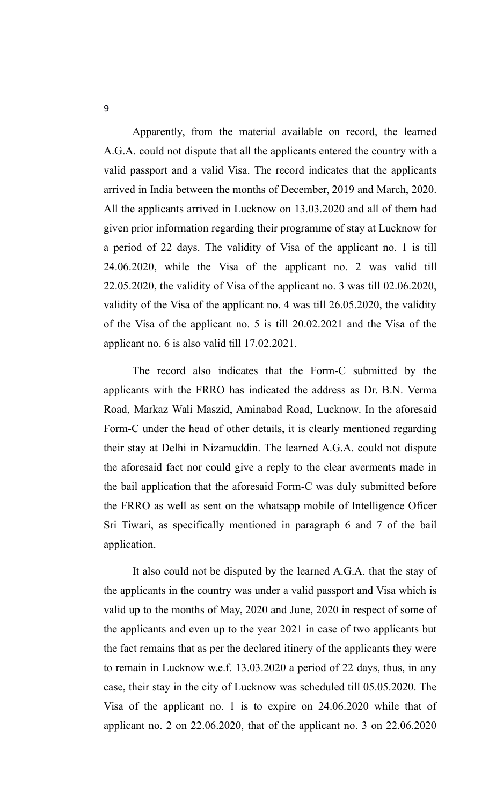Apparently, from the material available on record, the learned A.G.A. could not dispute that all the applicants entered the country with a valid passport and a valid Visa. The record indicates that the applicants arrived in India between the months of December, 2019 and March, 2020. All the applicants arrived in Lucknow on 13.03.2020 and all of them had given prior information regarding their programme of stay at Lucknow for a period of 22 days. The validity of Visa of the applicant no. 1 is till 24.06.2020, while the Visa of the applicant no. 2 was valid till 22.05.2020, the validity of Visa of the applicant no. 3 was till 02.06.2020, validity of the Visa of the applicant no. 4 was till 26.05.2020, the validity of the Visa of the applicant no. 5 is till 20.02.2021 and the Visa of the applicant no. 6 is also valid till 17.02.2021.

The record also indicates that the Form-C submitted by the applicants with the FRRO has indicated the address as Dr. B.N. Verma Road, Markaz Wali Maszid, Aminabad Road, Lucknow. In the aforesaid Form-C under the head of other details, it is clearly mentioned regarding their stay at Delhi in Nizamuddin. The learned A.G.A. could not dispute the aforesaid fact nor could give a reply to the clear averments made in the bail application that the aforesaid Form-C was duly submitted before the FRRO as well as sent on the whatsapp mobile of Intelligence Oficer Sri Tiwari, as specifically mentioned in paragraph 6 and 7 of the bail application.

It also could not be disputed by the learned A.G.A. that the stay of the applicants in the country was under a valid passport and Visa which is valid up to the months of May, 2020 and June, 2020 in respect of some of the applicants and even up to the year 2021 in case of two applicants but the fact remains that as per the declared itinery of the applicants they were to remain in Lucknow w.e.f. 13.03.2020 a period of 22 days, thus, in any case, their stay in the city of Lucknow was scheduled till 05.05.2020. The Visa of the applicant no. 1 is to expire on 24.06.2020 while that of applicant no. 2 on 22.06.2020, that of the applicant no. 3 on 22.06.2020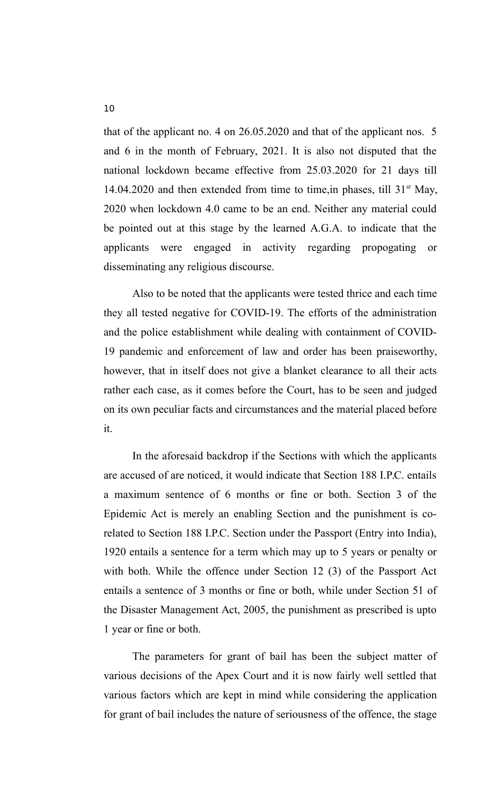that of the applicant no. 4 on 26.05.2020 and that of the applicant nos. 5 and 6 in the month of February, 2021. It is also not disputed that the national lockdown became effective from 25.03.2020 for 21 days till 14.04.2020 and then extended from time to time, in phases, till  $31<sup>st</sup>$  May, 2020 when lockdown 4.0 came to be an end. Neither any material could be pointed out at this stage by the learned A.G.A. to indicate that the applicants were engaged in activity regarding propogating or disseminating any religious discourse.

Also to be noted that the applicants were tested thrice and each time they all tested negative for COVID-19. The efforts of the administration and the police establishment while dealing with containment of COVID-19 pandemic and enforcement of law and order has been praiseworthy, however, that in itself does not give a blanket clearance to all their acts rather each case, as it comes before the Court, has to be seen and judged on its own peculiar facts and circumstances and the material placed before it.

In the aforesaid backdrop if the Sections with which the applicants are accused of are noticed, it would indicate that Section 188 I.P.C. entails a maximum sentence of 6 months or fine or both. Section 3 of the Epidemic Act is merely an enabling Section and the punishment is corelated to Section 188 I.P.C. Section under the Passport (Entry into India), 1920 entails a sentence for a term which may up to 5 years or penalty or with both. While the offence under Section 12 (3) of the Passport Act entails a sentence of 3 months or fine or both, while under Section 51 of the Disaster Management Act, 2005, the punishment as prescribed is upto 1 year or fine or both.

The parameters for grant of bail has been the subject matter of various decisions of the Apex Court and it is now fairly well settled that various factors which are kept in mind while considering the application for grant of bail includes the nature of seriousness of the offence, the stage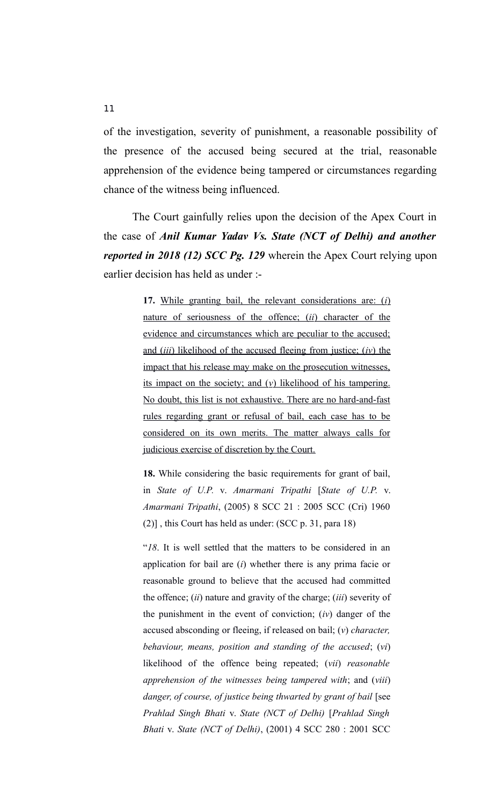of the investigation, severity of punishment, a reasonable possibility of the presence of the accused being secured at the trial, reasonable apprehension of the evidence being tampered or circumstances regarding chance of the witness being influenced.

The Court gainfully relies upon the decision of the Apex Court in the case of *Anil Kumar Yadav Vs. State (NCT of Delhi) and another reported in 2018 (12) SCC Pg. 129* wherein the Apex Court relying upon earlier decision has held as under :-

> 17. While granting bail, the relevant considerations are: (*i*) nature of seriousness of the offence; *(ii)* character of the evidence and circumstances which are peculiar to the accused; and *(iii)* likelihood of the accused fleeing from justice; *(iv)* the impact that his release may make on the prosecution witnesses, its impact on the society; and  $(v)$  likelihood of his tampering. No doubt, this list is not exhaustive. There are no hard-and-fast rules regarding grant or refusal of bail, each case has to be considered on its own merits. The matter always calls for judicious exercise of discretion by the Court.

> **18.** While considering the basic requirements for grant of bail, in *State of U.P.* v. *Amarmani Tripathi* [*State of U.P.* v. *Amarmani Tripathi*, (2005) 8 SCC 21 : 2005 SCC (Cri) 1960 (2)] , this Court has held as under: (SCC p. 31, para 18)

> "*18*. It is well settled that the matters to be considered in an application for bail are (*i*) whether there is any prima facie or reasonable ground to believe that the accused had committed the offence; (*ii*) nature and gravity of the charge; (*iii*) severity of the punishment in the event of conviction; (*iv*) danger of the accused absconding or fleeing, if released on bail; (*v*) *character, behaviour, means, position and standing of the accused*; (*vi*) likelihood of the offence being repeated; (*vii*) *reasonable apprehension of the witnesses being tampered with*; and (*viii*) *danger, of course, of justice being thwarted by grant of bail* [see *Prahlad Singh Bhati* v. *State (NCT of Delhi)* [*Prahlad Singh Bhati* v. *State (NCT of Delhi)*, (2001) 4 SCC 280 : 2001 SCC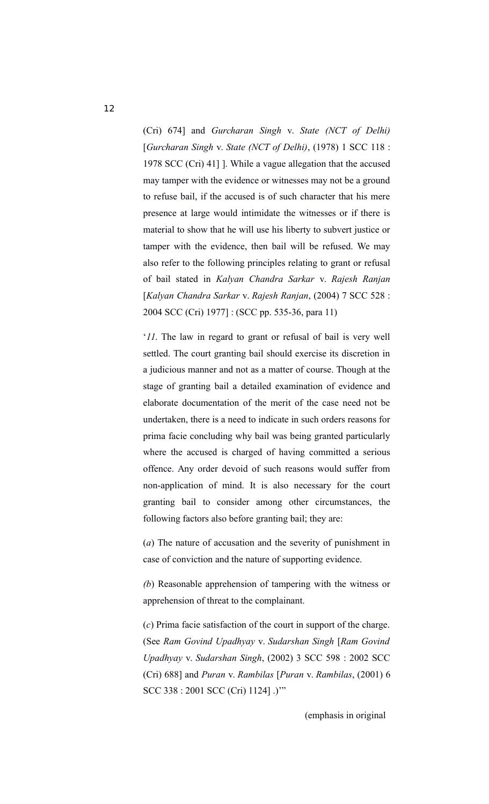(Cri) 674] and *Gurcharan Singh* v. *State (NCT of Delhi)* [*Gurcharan Singh* v. *State (NCT of Delhi)*, (1978) 1 SCC 118 : 1978 SCC (Cri) 41] ]. While a vague allegation that the accused may tamper with the evidence or witnesses may not be a ground to refuse bail, if the accused is of such character that his mere presence at large would intimidate the witnesses or if there is material to show that he will use his liberty to subvert justice or tamper with the evidence, then bail will be refused. We may also refer to the following principles relating to grant or refusal of bail stated in *Kalyan Chandra Sarkar* v. *Rajesh Ranjan* [*Kalyan Chandra Sarkar* v. *Rajesh Ranjan*, (2004) 7 SCC 528 : 2004 SCC (Cri) 1977] : (SCC pp. 535-36, para 11)

'*11*. The law in regard to grant or refusal of bail is very well settled. The court granting bail should exercise its discretion in a judicious manner and not as a matter of course. Though at the stage of granting bail a detailed examination of evidence and elaborate documentation of the merit of the case need not be undertaken, there is a need to indicate in such orders reasons for prima facie concluding why bail was being granted particularly where the accused is charged of having committed a serious offence. Any order devoid of such reasons would suffer from non-application of mind. It is also necessary for the court granting bail to consider among other circumstances, the following factors also before granting bail; they are:

(*a*) The nature of accusation and the severity of punishment in case of conviction and the nature of supporting evidence.

*(b*) Reasonable apprehension of tampering with the witness or apprehension of threat to the complainant.

(*c*) Prima facie satisfaction of the court in support of the charge. (See *Ram Govind Upadhyay* v. *Sudarshan Singh* [*Ram Govind Upadhyay* v. *Sudarshan Singh*, (2002) 3 SCC 598 : 2002 SCC (Cri) 688] and *Puran* v. *Rambilas* [*Puran* v. *Rambilas*, (2001) 6 SCC 338 : 2001 SCC (Cri) 1124] .)'"

(emphasis in original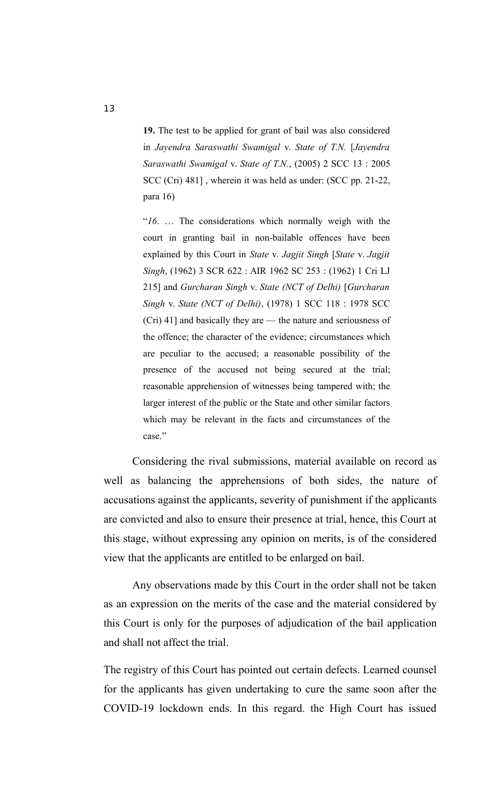**19.** The test to be applied for grant of bail was also considered in *Jayendra Saraswathi Swamigal* v. *State of T.N.* [*Jayendra Saraswathi Swamigal* v. *State of T.N.*, (2005) 2 SCC 13 : 2005 SCC (Cri) 481] , wherein it was held as under: (SCC pp. 21-22, para 16)

"*16*. … The considerations which normally weigh with the court in granting bail in non-bailable offences have been explained by this Court in *State* v. *Jagjit Singh* [*State* v. *Jagjit Singh*, (1962) 3 SCR 622 : AIR 1962 SC 253 : (1962) 1 Cri LJ 215] and *Gurcharan Singh* v. *State (NCT of Delhi)* [*Gurcharan Singh* v. *State (NCT of Delhi)*, (1978) 1 SCC 118 : 1978 SCC (Cri) 41] and basically they are — the nature and seriousness of the offence; the character of the evidence; circumstances which are peculiar to the accused; a reasonable possibility of the presence of the accused not being secured at the trial; reasonable apprehension of witnesses being tampered with; the larger interest of the public or the State and other similar factors which may be relevant in the facts and circumstances of the case."

Considering the rival submissions, material available on record as well as balancing the apprehensions of both sides, the nature of accusations against the applicants, severity of punishment if the applicants are convicted and also to ensure their presence at trial, hence, this Court at this stage, without expressing any opinion on merits, is of the considered view that the applicants are entitled to be enlarged on bail.

Any observations made by this Court in the order shall not be taken as an expression on the merits of the case and the material considered by this Court is only for the purposes of adjudication of the bail application and shall not affect the trial.

The registry of this Court has pointed out certain defects. Learned counsel for the applicants has given undertaking to cure the same soon after the COVID-19 lockdown ends. In this regard. the High Court has issued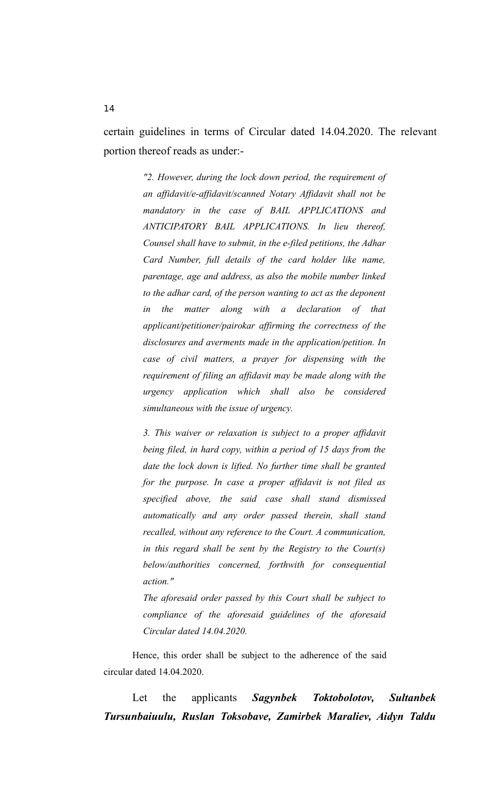certain guidelines in terms of Circular dated 14.04.2020. The relevant portion thereof reads as under:-

> *"2. However, during the lock down period, the requirement of an affidavit/e-affidavit/scanned Notary Affidavit shall not be mandatory in the case of BAIL APPLICATIONS and ANTICIPATORY BAIL APPLICATIONS. In lieu thereof, Counsel shall have to submit, in the e-filed petitions, the Adhar Card Number, full details of the card holder like name, parentage, age and address, as also the mobile number linked to the adhar card, of the person wanting to act as the deponent in the matter along with a declaration of that applicant/petitioner/pairokar affirming the correctness of the disclosures and averments made in the application/petition. In case of civil matters, a prayer for dispensing with the requirement of filing an affidavit may be made along with the urgency application which shall also be considered simultaneous with the issue of urgency.*

> *3. This waiver or relaxation is subject to a proper affidavit being filed, in hard copy, within a period of 15 days from the date the lock down is lifted. No further time shall be granted for the purpose. In case a proper affidavit is not filed as specified above, the said case shall stand dismissed automatically and any order passed therein, shall stand recalled, without any reference to the Court. A communication, in this regard shall be sent by the Registry to the Court(s) below/authorities concerned, forthwith for consequential action."*

> *The aforesaid order passed by this Court shall be subject to compliance of the aforesaid guidelines of the aforesaid Circular dated 14.04.2020.*

Hence, this order shall be subject to the adherence of the said circular dated 14.04.2020.

Let the applicants *Sagynbek Toktobolotov, Sultanbek Tursunbaiuulu, Ruslan Toksobave, Zamirbek Maraliev, Aidyn Taldu*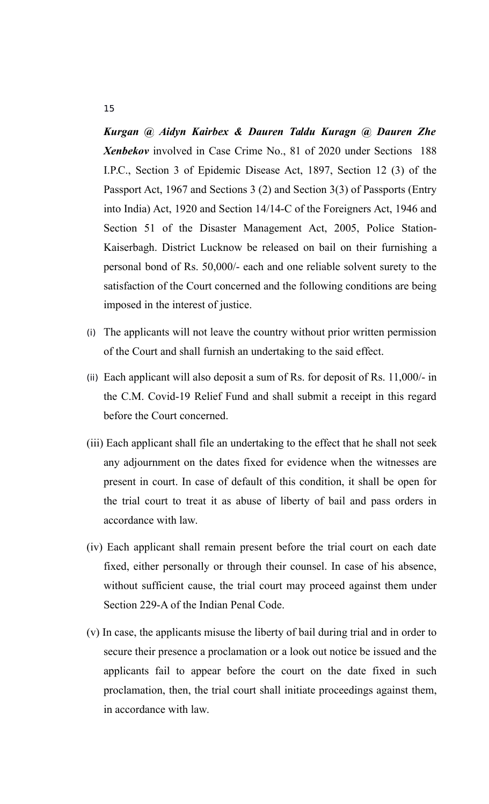*Kurgan @ Aidyn Kairbex & Dauren Taldu Kuragn @ Dauren Zhe Xenbekov* involved in Case Crime No., 81 of 2020 under Sections 188 I.P.C., Section 3 of Epidemic Disease Act, 1897, Section 12 (3) of the Passport Act, 1967 and Sections 3 (2) and Section 3(3) of Passports (Entry into India) Act, 1920 and Section 14/14-C of the Foreigners Act, 1946 and Section 51 of the Disaster Management Act, 2005, Police Station-Kaiserbagh. District Lucknow be released on bail on their furnishing a personal bond of Rs. 50,000/- each and one reliable solvent surety to the satisfaction of the Court concerned and the following conditions are being imposed in the interest of justice.

- (i) The applicants will not leave the country without prior written permission of the Court and shall furnish an undertaking to the said effect.
- (ii) Each applicant will also deposit a sum of Rs. for deposit of Rs. 11,000/- in the C.M. Covid-19 Relief Fund and shall submit a receipt in this regard before the Court concerned.
- (iii) Each applicant shall file an undertaking to the effect that he shall not seek any adjournment on the dates fixed for evidence when the witnesses are present in court. In case of default of this condition, it shall be open for the trial court to treat it as abuse of liberty of bail and pass orders in accordance with law.
- (iv) Each applicant shall remain present before the trial court on each date fixed, either personally or through their counsel. In case of his absence, without sufficient cause, the trial court may proceed against them under Section 229-A of the Indian Penal Code.
- (v) In case, the applicants misuse the liberty of bail during trial and in order to secure their presence a proclamation or a look out notice be issued and the applicants fail to appear before the court on the date fixed in such proclamation, then, the trial court shall initiate proceedings against them, in accordance with law.

#### 15